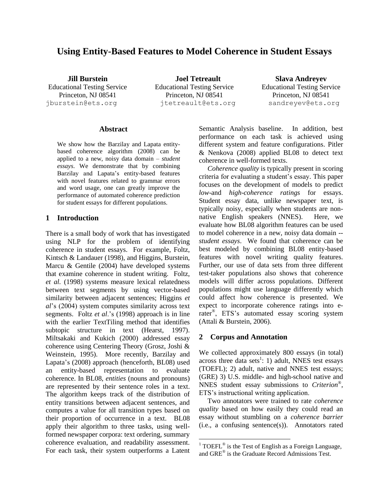# **Using Entity-Based Features to Model Coherence in Student Essays**

**Jill Burstein** Educational Testing Service Princeton, NJ 08541 jburstein@ets.org itetreault@ets.org sandreyev@ets.org

**Joel Tetreault** Educational Testing Service Princeton, NJ 08541

**Slava Andreyev** Educational Testing Service Princeton, NJ 08541

### **Abstract**

We show how the Barzilay and Lapata entitybased coherence algorithm (2008) can be applied to a new, noisy data domain – *student essays*. We demonstrate that by combining Barzilay and Lapata's entity-based features with novel features related to grammar errors and word usage, one can greatly improve the performance of automated coherence prediction for student essays for different populations.

#### **1 Introduction**

There is a small body of work that has investigated using NLP for the problem of identifying coherence in student essays. For example, Foltz, Kintsch & Landauer (1998), and Higgins, Burstein, Marcu & Gentile (2004) have developed systems that examine coherence in student writing. Foltz, *et al.* (1998) systems measure lexical relatedness between text segments by using vector-based similarity between adjacent sentences; Higgins *et al*'s (2004) system computes similarity across text segments. Foltz *et al*.'s (1998) approach is in line with the earlier TextTiling method that identifies subtopic structure in text (Hearst, 1997). Miltsakaki and Kukich (2000) addressed essay coherence using Centering Theory (Grosz, Joshi & Weinstein, 1995). More recently, Barzilay and Lapata's (2008) approach (henceforth, BL08) used an entity-based representation to evaluate coherence. In BL08, *entities* (nouns and pronouns) are represented by their sentence roles in a text. The algorithm keeps track of the distribution of entity transitions between adjacent sentences, and computes a value for all transition types based on their proportion of occurrence in a text. BL08 apply their algorithm to three tasks, using wellformed newspaper corpora: text ordering, summary coherence evaluation, and readability assessment. For each task, their system outperforms a Latent Semantic Analysis baseline. In addition, best performance on each task is achieved using different system and feature configurations. Pitler & Nenkova (2008) applied BL08 to detect text coherence in well-formed texts.

*Coherence quality* is typically present in scoring criteria for evaluating a student's essay. This paper focuses on the development of models to predict *low*-and *high*-*coherence ratings* for essays. Student essay data, unlike newspaper text, is typically noisy, especially when students are nonnative English speakers (NNES). Here, we evaluate how BL08 algorithm features can be used to model coherence in a new, noisy data domain - *student essays*. We found that coherence can be best modeled by combining BL08 entity-based features with novel writing quality features. Further, our use of data sets from three different test-taker populations also shows that coherence models will differ across populations. Different populations might use language differently which could affect how coherence is presented. We expect to incorporate coherence ratings into erater® , ETS's automated essay scoring system (Attali & Burstein, 2006).

#### **2 Corpus and Annotation**

 $\overline{a}$ 

We collected approximately 800 essays (in total) across three data sets<sup>1</sup>: 1) adult, NNES test essays (TOEFL); 2) adult, native and NNES test essays; (GRE) 3) U.S. middle- and high-school native and NNES student essay submissions to *Criterion*® , ETS's instructional writing application.

Two annotators were trained to rate *coherence quality* based on how easily they could read an essay without stumbling on a *coherence barrier* (i.e., a confusing sentence(s)). Annotators rated

<sup>&</sup>lt;sup>1</sup> TOEFL<sup>®</sup> is the Test of English as a Foreign Language, and GRE® is the Graduate Record Admissions Test.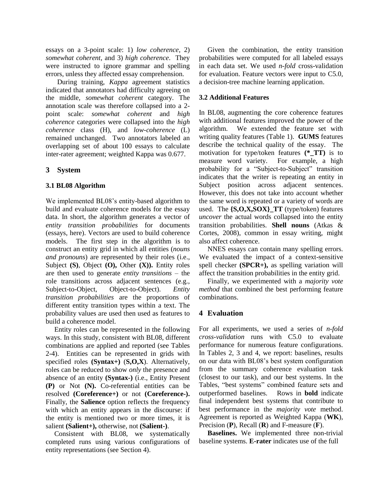essays on a 3-point scale: 1) *low coherence*, 2) *somewhat coherent*, and 3) *high coherence*. They were instructed to ignore grammar and spelling errors, unless they affected essay comprehension.

During training, *Kappa* agreement statistics indicated that annotators had difficulty agreeing on the middle, *somewhat coherent* category. The annotation scale was therefore collapsed into a 2 point scale: *somewhat coherent* and *high coherence* categories were collapsed into the *high coherence* class (H), and *low-coherence* (L) remained unchanged. Two annotators labeled an overlapping set of about 100 essays to calculate inter-rater agreement; weighted Kappa was 0.677.

# **3 System**

# **3.1 BL08 Algorithm**

We implemented BL08's entity-based algorithm to build and evaluate coherence models for the essay data. In short, the algorithm generates a vector of *entity transition probabilities* for documents (essays, here). Vectors are used to build coherence models. The first step in the algorithm is to construct an entity grid in which all entities (*nouns and pronouns*) are represented by their roles (i.e., Subject **(S)**, Object **(O),** Other **(X)).** Entity roles are then used to generate *entity transitions* – the role transitions across adjacent sentences (e.g., Subject-to-Object, Object-to-Object). *Entity transition probabilities* are the proportions of different entity transition types within a text. The probability values are used then used as features to build a coherence model.

Entity roles can be represented in the following ways. In this study, consistent with BL08, different combinations are applied and reported (see Tables 2-4). Entities can be represented in grids with specified roles **(Syntax+)** (**S,O,X**). Alternatively, roles can be reduced to show *only* the presence and absence of an entity **(Syntax-)** (i.e., Entity Present **(P)** or Not **(N).** Co-referential entities can be resolved **(Coreference+)** or not **(Coreference-).** Finally, the **Salience** option reflects the frequency with which an entity appears in the discourse: if the entity is mentioned two or more times, it is salient **(Salient+),** otherwise, not **(Salient-)**.

Consistent with BL08, we systematically completed runs using various configurations of entity representations (see Section 4).

Given the combination, the entity transition probabilities were computed for all labeled essays in each data set. We used *n-fold* cross-validation for evaluation. Feature vectors were input to C5.0, a decision-tree machine learning application.

# **3.2 Additional Features**

In BL08, augmenting the core coherence features with additional features improved the power of the algorithm. We extended the feature set with writing quality features (Table 1). **GUMS** features describe the technical quality of the essay. The motivation for type/token features **(\*\_TT)** is to measure word variety. For example, a high probability for a "Subject-to-Subject" transition indicates that the writer is repeating an entity in Subject position across adjacent sentences. However, this does not take into account whether the same word is repeated or a variety of words are used. The **{S,O,X,SOX}\_TT** (type/token) features *uncover* the actual words collapsed into the entity transition probabilities. **Shell nouns** (Atkas & Cortes, 2008), common in essay writing, might also affect coherence.

NNES essays can contain many spelling errors. We evaluated the impact of a context-sensitive spell checker **(SPCR+),** as spelling variation will affect the transition probabilities in the entity grid.

Finally, we experimented with a *majority vote method* that combined the best performing feature combinations.

# **4 Evaluation**

For all experiments, we used a series of *n-fold cross-validation* runs with C5.0 to evaluate performance for numerous feature configurations. In Tables 2, 3 and 4, we report: baselines, results on our data with BL08's best system configuration from the summary coherence evaluation task (closest to our task), and our best systems. In the Tables, "best systems" combined feature sets and outperformed baselines. Rows in **bold** indicate final independent best systems that contribute to best performance in the *majority vote* method. Agreement is reported as Weighted Kappa (**WK**), Precision (**P**), Recall (**R**) and F-measure (**F**).

**Baselines.** We implemented three non-trivial baseline systems. **E-rater** indicates use of the full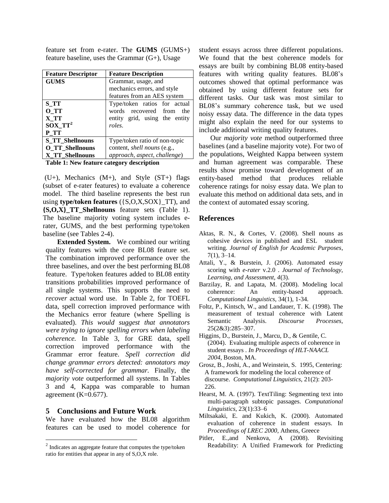feature set from e-rater. The **GUMS** (GUMS+) feature baseline, uses the Grammar (G+), Usage

| <b>Feature Descriptor</b> | <b>Feature Description</b>         |  |  |  |  |  |  |  |  |
|---------------------------|------------------------------------|--|--|--|--|--|--|--|--|
| <b>GUMS</b>               | Grammar, usage, and                |  |  |  |  |  |  |  |  |
|                           | mechanics errors, and style        |  |  |  |  |  |  |  |  |
|                           | features from an AES system        |  |  |  |  |  |  |  |  |
| S TT                      | Type/token ratios for actual       |  |  |  |  |  |  |  |  |
| O TT                      | words recovered from<br>the        |  |  |  |  |  |  |  |  |
| X TT                      | entity grid, using the entity      |  |  |  |  |  |  |  |  |
| $SOX$ $TT^2$              | roles.                             |  |  |  |  |  |  |  |  |
| P TT                      |                                    |  |  |  |  |  |  |  |  |
| <b>S_TT_Shellnouns</b>    | Type/token ratio of non-topic      |  |  |  |  |  |  |  |  |
| <b>O_TT_Shellnouns</b>    | content, <i>shell nouns</i> (e.g., |  |  |  |  |  |  |  |  |
| <b>X TT Shellnouns</b>    | approach, aspect, challenge)       |  |  |  |  |  |  |  |  |

**Table 1: New feature category description**

(U+), Mechanics (M+), and Style (ST+) flags (subset of e-rater features) to evaluate a coherence model. The third baseline represents the best run using **type/token features** ({S,O,X,SOX}\_TT), and **{S,O,X}\_TT\_Shellnouns** feature sets (Table 1). The baseline majority voting system includes erater, GUMS, and the best performing type/token baseline (see Tables 2-4).

**Extended System.** We combined our writing quality features with the core BL08 feature set. The combination improved performance over the three baselines, and over the best performing BL08 feature. Type/token features added to BL08 entity transitions probabilities improved performance of all single systems. This supports the need to *recover* actual word use. In Table 2, for TOEFL data, spell correction improved performance with the Mechanics error feature (where Spelling is evaluated). *This would suggest that annotators were trying to ignore spelling errors when labeling coherence.* In Table 3, for GRE data, spell correction improved performance with the Grammar error feature. *Spell correction did change grammar errors detected: annotators may have self-corrected for grammar.* Finally, the *majority vote* outperformed all systems. In Tables 3 and 4, Kappa was comparable to human agreement  $(K=0.677)$ .

#### **5 Conclusions and Future Work**

 $\overline{a}$ 

We have evaluated how the BL08 algorithm features can be used to model coherence for

student essays across three different populations. We found that the best coherence models for essays are built by combining BL08 entity-based features with writing quality features. BL08's outcomes showed that optimal performance was obtained by using different feature sets for different tasks. Our task was most similar to BL08's summary coherence task, but we used noisy essay data. The difference in the data types might also explain the need for our systems to include additional writing quality features.

Our *majority vote* method outperformed three baselines (and a baseline majority vote). For two of the populations, Weighted Kappa between system and human agreement was comparable. These results show promise toward development of an entity-based method that produces reliable coherence ratings for noisy essay data. We plan to evaluate this method on additional data sets, and in the context of automated essay scoring.

#### **References**

- Aktas, R. N., & Cortes, V. (2008). Shell nouns as cohesive devices in published and ESL student writing. *Journal of English for Academic Purposes*, 7(1), 3–14.
- Attali, Y., & Burstein, J. (2006). Automated essay scoring with *e-rater* v.2.0 . *Journal of Technology, Learning, and Assessment, 4*(3).
- Barzilay, R. and Lapata, M. (2008). Modeling local coherence: An entity-based approach. *Computational Linguistics,* 34(1), 1-34.
- Foltz, P., Kintsch, W., and Landauer, T. K. (1998). The measurement of textual coherence with Latent Semantic Analysis. *Discourse Processes*, 25(2&3):285–307.
- Higgins, D., Burstein, J., Marcu, D., & Gentile, C. (2004). Evaluating multiple aspects of coherence in student essays . *In Proceedings of HLT-NAACL 2004*, Boston, MA.
- Grosz, B., Joshi, A., and Weinstein, S. 1995, Centering: A framework for modeling the local coherence of discourse. *Computational Linguistics*, 21(2): 203- 226.
- Hearst, M. A. (1997). TextTiling: Segmenting text into multi-paragraph subtopic passages. *Computational Linguistics*, 23(1):33–6
- Miltsakaki, E. and Kukich, K. (2000). Automated evaluation of coherence in student essays. In *Proceedings of LREC 2000*, Athens, Greece
- Pitler, E.,and Nenkova, A (2008). Revisiting Readability: A Unified Framework for Predicting

 $2$  Indicates an aggregate feature that computes the type/token ratio for entities that appear in any of S,O,X role.